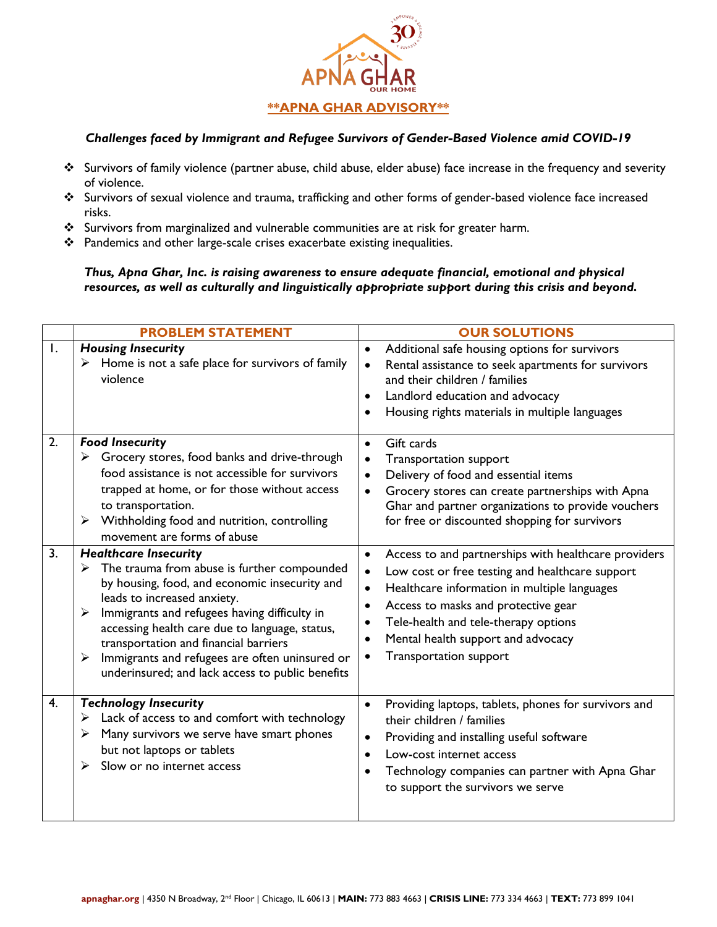

## *Challenges faced by Immigrant and Refugee Survivors of Gender-Based Violence amid COVID-19*

- ❖ Survivors of family violence (partner abuse, child abuse, elder abuse) face increase in the frequency and severity of violence.
- ❖ Survivors of sexual violence and trauma, trafficking and other forms of gender-based violence face increased risks.
- ❖ Survivors from marginalized and vulnerable communities are at risk for greater harm.
- ❖ Pandemics and other large-scale crises exacerbate existing inequalities.

*Thus, Apna Ghar, Inc. is raising awareness to ensure adequate financial, emotional and physical resources, as well as culturally and linguistically appropriate support during this crisis and beyond.* 

|    | <b>PROBLEM STATEMENT</b>                                                                                                                                                                                                                                                                                                                                                                                                                        | <b>OUR SOLUTIONS</b>                                                                                                                                                                                                                                                                                                                                                                                     |
|----|-------------------------------------------------------------------------------------------------------------------------------------------------------------------------------------------------------------------------------------------------------------------------------------------------------------------------------------------------------------------------------------------------------------------------------------------------|----------------------------------------------------------------------------------------------------------------------------------------------------------------------------------------------------------------------------------------------------------------------------------------------------------------------------------------------------------------------------------------------------------|
| Ι. | <b>Housing Insecurity</b><br>Home is not a safe place for survivors of family<br>➤<br>violence                                                                                                                                                                                                                                                                                                                                                  | Additional safe housing options for survivors<br>$\bullet$<br>Rental assistance to seek apartments for survivors<br>$\bullet$<br>and their children / families<br>Landlord education and advocacy<br>$\bullet$<br>Housing rights materials in multiple languages<br>$\bullet$                                                                                                                            |
| 2. | <b>Food Insecurity</b><br>Grocery stores, food banks and drive-through<br>➤<br>food assistance is not accessible for survivors<br>trapped at home, or for those without access<br>to transportation.<br>$\triangleright$ Withholding food and nutrition, controlling<br>movement are forms of abuse                                                                                                                                             | Gift cards<br>$\bullet$<br><b>Transportation support</b><br>$\bullet$<br>Delivery of food and essential items<br>$\bullet$<br>Grocery stores can create partnerships with Apna<br>$\bullet$<br>Ghar and partner organizations to provide vouchers<br>for free or discounted shopping for survivors                                                                                                       |
| 3. | <b>Healthcare Insecurity</b><br>The trauma from abuse is further compounded<br>➤<br>by housing, food, and economic insecurity and<br>leads to increased anxiety.<br>Immigrants and refugees having difficulty in<br>$\blacktriangleright$<br>accessing health care due to language, status,<br>transportation and financial barriers<br>Immigrants and refugees are often uninsured or<br>➤<br>underinsured; and lack access to public benefits | Access to and partnerships with healthcare providers<br>$\bullet$<br>Low cost or free testing and healthcare support<br>$\bullet$<br>Healthcare information in multiple languages<br>$\bullet$<br>Access to masks and protective gear<br>$\bullet$<br>Tele-health and tele-therapy options<br>$\bullet$<br>Mental health support and advocacy<br>$\bullet$<br><b>Transportation support</b><br>$\bullet$ |
| 4. | <b>Technology Insecurity</b><br>Lack of access to and comfort with technology<br>➤<br>Many survivors we serve have smart phones<br>➤<br>but not laptops or tablets<br>Slow or no internet access<br>⋗                                                                                                                                                                                                                                           | Providing laptops, tablets, phones for survivors and<br>$\bullet$<br>their children / families<br>Providing and installing useful software<br>$\bullet$<br>Low-cost internet access<br>$\bullet$<br>Technology companies can partner with Apna Ghar<br>to support the survivors we serve                                                                                                                 |